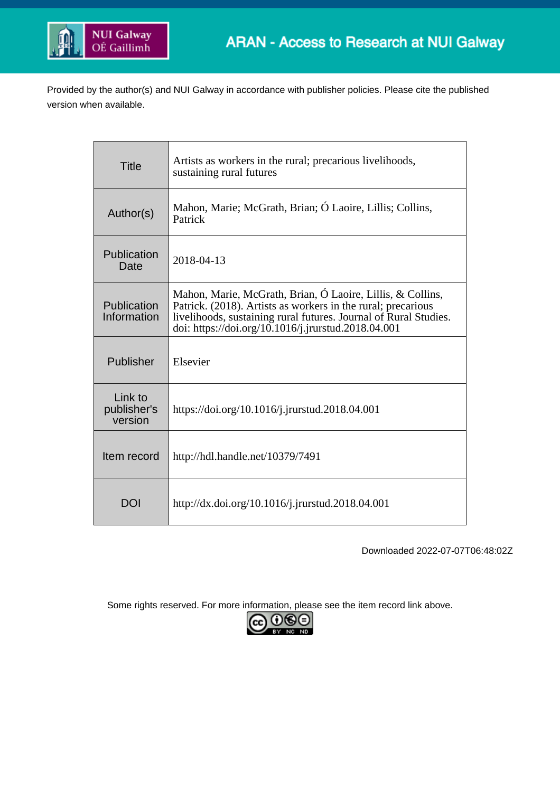

Provided by the author(s) and NUI Galway in accordance with publisher policies. Please cite the published version when available.

| <b>Title</b>                      | Artists as workers in the rural; precarious livelihoods,<br>sustaining rural futures                                                                                                                                                                  |
|-----------------------------------|-------------------------------------------------------------------------------------------------------------------------------------------------------------------------------------------------------------------------------------------------------|
| Author(s)                         | Mahon, Marie; McGrath, Brian; Ó Laoire, Lillis; Collins,<br>Patrick                                                                                                                                                                                   |
| Publication<br>Date               | 2018-04-13                                                                                                                                                                                                                                            |
| Publication<br>Information        | Mahon, Marie, McGrath, Brian, Ó Laoire, Lillis, & Collins,<br>Patrick. (2018). Artists as workers in the rural; precarious<br>livelihoods, sustaining rural futures. Journal of Rural Studies.<br>doi: https://doi.org/10.1016/j.jrurstud.2018.04.001 |
| Publisher                         | Elsevier                                                                                                                                                                                                                                              |
| Link to<br>publisher's<br>version | https://doi.org/10.1016/j.jrurstud.2018.04.001                                                                                                                                                                                                        |
| Item record                       | http://hdl.handle.net/10379/7491                                                                                                                                                                                                                      |
| <b>DOI</b>                        | http://dx.doi.org/10.1016/j.jrurstud.2018.04.001                                                                                                                                                                                                      |

Downloaded 2022-07-07T06:48:02Z

Some rights reserved. For more information, please see the item record link above.

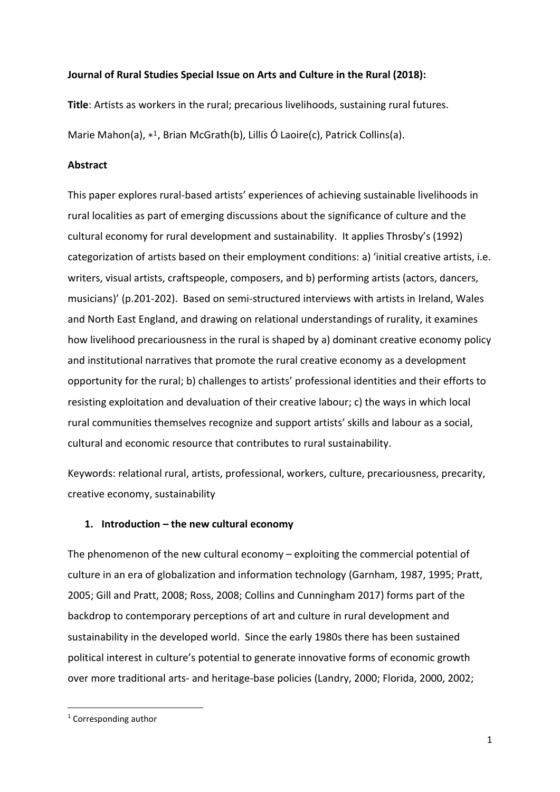# **Journal of Rural Studies Special Issue on Arts and Culture in the Rural (2018):**

**Title**: Artists as workers in the rural; precarious livelihoods, sustaining rural futures.

Marie Mahon(a), ∗ <sup>1</sup>, Brian McGrath(b), Lillis Ó Laoire(c), Patrick Collins(a).

# **Abstract**

This paper explores rural-based artists' experiences of achieving sustainable livelihoods in rural localities as part of emerging discussions about the significance of culture and the cultural economy for rural development and sustainability. It applies Throsby's (1992) categorization of artists based on their employment conditions: a) 'initial creative artists, i.e. writers, visual artists, craftspeople, composers, and b) performing artists (actors, dancers, musicians)' (p.201-202). Based on semi-structured interviews with artists in Ireland, Wales and North East England, and drawing on relational understandings of rurality, it examines how livelihood precariousness in the rural is shaped by a) dominant creative economy policy and institutional narratives that promote the rural creative economy as a development opportunity for the rural; b) challenges to artists' professional identities and their efforts to resisting exploitation and devaluation of their creative labour; c) the ways in which local rural communities themselves recognize and support artists' skills and labour as a social, cultural and economic resource that contributes to rural sustainability.

Keywords: relational rural, artists, professional, workers, culture, precariousness, precarity, creative economy, sustainability

# **1. Introduction – the new cultural economy**

The phenomenon of the new cultural economy – exploiting the commercial potential of culture in an era of globalization and information technology (Garnham, 1987, 1995; Pratt, 2005; Gill and Pratt, 2008; Ross, 2008; Collins and Cunningham 2017) forms part of the backdrop to contemporary perceptions of art and culture in rural development and sustainability in the developed world. Since the early 1980s there has been sustained political interest in culture's potential to generate innovative forms of economic growth over more traditional arts- and heritage-base policies (Landry, 2000; Florida, 2000, 2002;

**.** 

<sup>1</sup> Corresponding author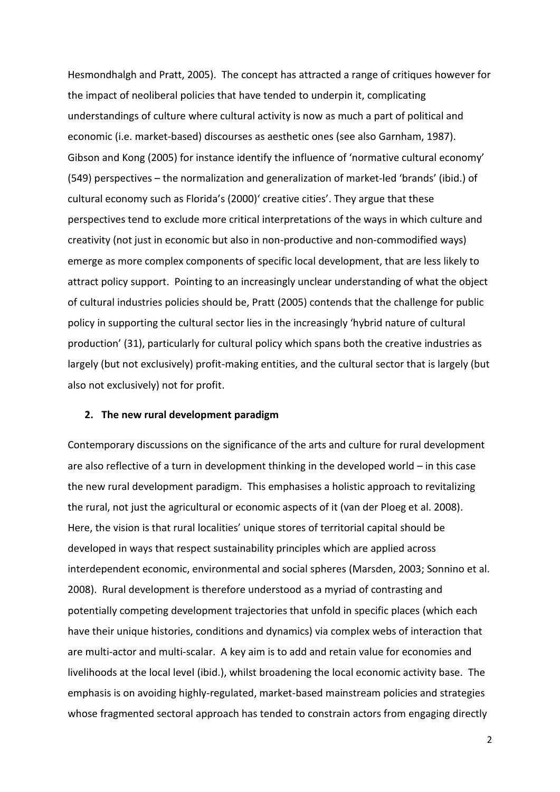Hesmondhalgh and Pratt, 2005). The concept has attracted a range of critiques however for the impact of neoliberal policies that have tended to underpin it, complicating understandings of culture where cultural activity is now as much a part of political and economic (i.e. market-based) discourses as aesthetic ones (see also Garnham, 1987). Gibson and Kong (2005) for instance identify the influence of 'normative cultural economy' (549) perspectives – the normalization and generalization of market-led 'brands' (ibid.) of cultural economy such as Florida's (2000)' creative cities'. They argue that these perspectives tend to exclude more critical interpretations of the ways in which culture and creativity (not just in economic but also in non-productive and non-commodified ways) emerge as more complex components of specific local development, that are less likely to attract policy support. Pointing to an increasingly unclear understanding of what the object of cultural industries policies should be, Pratt (2005) contends that the challenge for public policy in supporting the cultural sector lies in the increasingly 'hybrid nature of cultural production' (31), particularly for cultural policy which spans both the creative industries as largely (but not exclusively) profit-making entities, and the cultural sector that is largely (but also not exclusively) not for profit.

### **2. The new rural development paradigm**

Contemporary discussions on the significance of the arts and culture for rural development are also reflective of a turn in development thinking in the developed world – in this case the new rural development paradigm. This emphasises a holistic approach to revitalizing the rural, not just the agricultural or economic aspects of it (van der Ploeg et al. 2008). Here, the vision is that rural localities' unique stores of territorial capital should be developed in ways that respect sustainability principles which are applied across interdependent economic, environmental and social spheres (Marsden, 2003; Sonnino et al. 2008). Rural development is therefore understood as a myriad of contrasting and potentially competing development trajectories that unfold in specific places (which each have their unique histories, conditions and dynamics) via complex webs of interaction that are multi-actor and multi-scalar. A key aim is to add and retain value for economies and livelihoods at the local level (ibid.), whilst broadening the local economic activity base. The emphasis is on avoiding highly-regulated, market-based mainstream policies and strategies whose fragmented sectoral approach has tended to constrain actors from engaging directly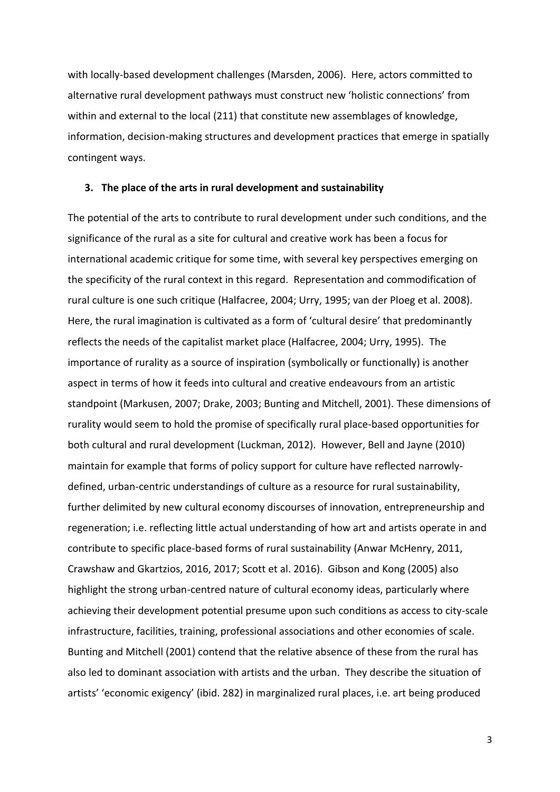with locally-based development challenges (Marsden, 2006). Here, actors committed to alternative rural development pathways must construct new 'holistic connections' from within and external to the local (211) that constitute new assemblages of knowledge, information, decision-making structures and development practices that emerge in spatially contingent ways.

### **3. The place of the arts in rural development and sustainability**

The potential of the arts to contribute to rural development under such conditions, and the significance of the rural as a site for cultural and creative work has been a focus for international academic critique for some time, with several key perspectives emerging on the specificity of the rural context in this regard. Representation and commodification of rural culture is one such critique (Halfacree, 2004; Urry, 1995; van der Ploeg et al. 2008). Here, the rural imagination is cultivated as a form of 'cultural desire' that predominantly reflects the needs of the capitalist market place (Halfacree, 2004; Urry, 1995). The importance of rurality as a source of inspiration (symbolically or functionally) is another aspect in terms of how it feeds into cultural and creative endeavours from an artistic standpoint (Markusen, 2007; Drake, 2003; Bunting and Mitchell, 2001). These dimensions of rurality would seem to hold the promise of specifically rural place-based opportunities for both cultural and rural development (Luckman, 2012). However, Bell and Jayne (2010) maintain for example that forms of policy support for culture have reflected narrowlydefined, urban-centric understandings of culture as a resource for rural sustainability, further delimited by new cultural economy discourses of innovation, entrepreneurship and regeneration; i.e. reflecting little actual understanding of how art and artists operate in and contribute to specific place-based forms of rural sustainability (Anwar McHenry, 2011, Crawshaw and Gkartzios, 2016, 2017; Scott et al. 2016). Gibson and Kong (2005) also highlight the strong urban-centred nature of cultural economy ideas, particularly where achieving their development potential presume upon such conditions as access to city-scale infrastructure, facilities, training, professional associations and other economies of scale. Bunting and Mitchell (2001) contend that the relative absence of these from the rural has also led to dominant association with artists and the urban. They describe the situation of artists' 'economic exigency' (ibid. 282) in marginalized rural places, i.e. art being produced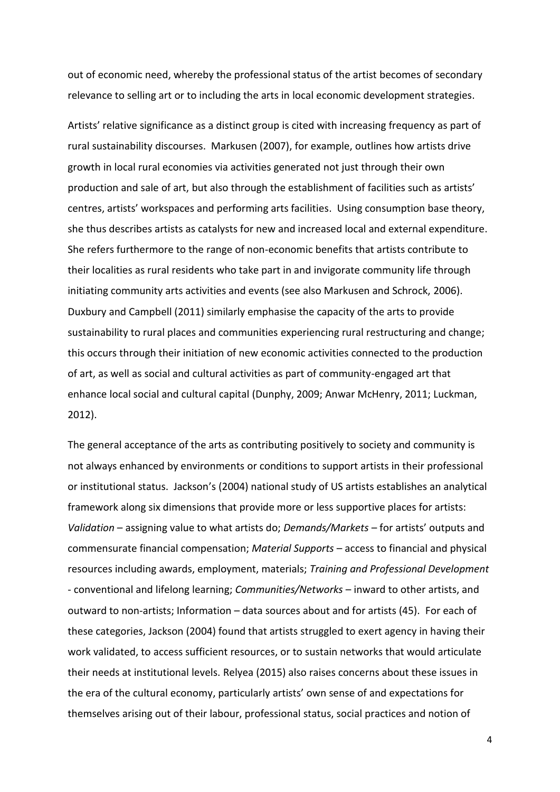out of economic need, whereby the professional status of the artist becomes of secondary relevance to selling art or to including the arts in local economic development strategies.

Artists' relative significance as a distinct group is cited with increasing frequency as part of rural sustainability discourses. Markusen (2007), for example, outlines how artists drive growth in local rural economies via activities generated not just through their own production and sale of art, but also through the establishment of facilities such as artists' centres, artists' workspaces and performing arts facilities. Using consumption base theory, she thus describes artists as catalysts for new and increased local and external expenditure. She refers furthermore to the range of non-economic benefits that artists contribute to their localities as rural residents who take part in and invigorate community life through initiating community arts activities and events (see also Markusen and Schrock, 2006). Duxbury and Campbell (2011) similarly emphasise the capacity of the arts to provide sustainability to rural places and communities experiencing rural restructuring and change; this occurs through their initiation of new economic activities connected to the production of art, as well as social and cultural activities as part of community-engaged art that enhance local social and cultural capital (Dunphy, 2009; Anwar McHenry, 2011; Luckman, 2012).

The general acceptance of the arts as contributing positively to society and community is not always enhanced by environments or conditions to support artists in their professional or institutional status. Jackson's (2004) national study of US artists establishes an analytical framework along six dimensions that provide more or less supportive places for artists: *Validation* – assigning value to what artists do; *Demands/Markets* – for artists' outputs and commensurate financial compensation; *Material Supports* – access to financial and physical resources including awards, employment, materials; *Training and Professional Development* - conventional and lifelong learning; *Communities/Networks* – inward to other artists, and outward to non-artists; Information – data sources about and for artists (45). For each of these categories, Jackson (2004) found that artists struggled to exert agency in having their work validated, to access sufficient resources, or to sustain networks that would articulate their needs at institutional levels. Relyea (2015) also raises concerns about these issues in the era of the cultural economy, particularly artists' own sense of and expectations for themselves arising out of their labour, professional status, social practices and notion of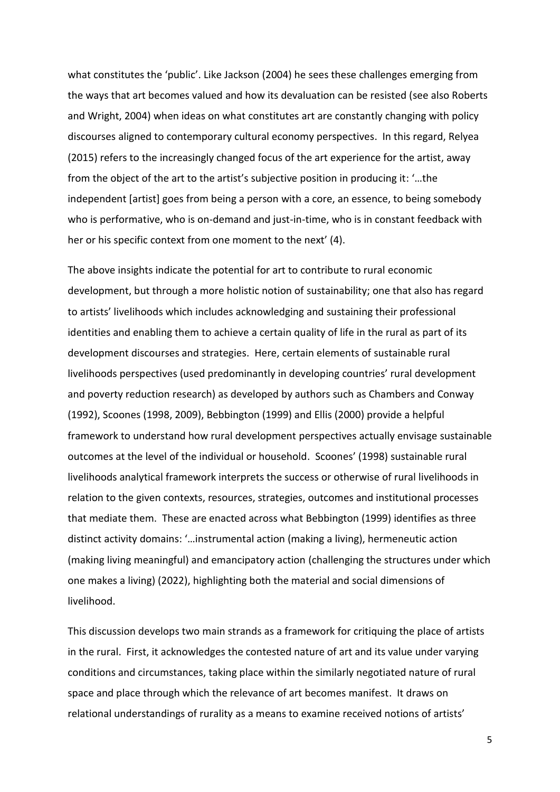what constitutes the 'public'. Like Jackson (2004) he sees these challenges emerging from the ways that art becomes valued and how its devaluation can be resisted (see also Roberts and Wright, 2004) when ideas on what constitutes art are constantly changing with policy discourses aligned to contemporary cultural economy perspectives. In this regard, Relyea (2015) refers to the increasingly changed focus of the art experience for the artist, away from the object of the art to the artist's subjective position in producing it: '…the independent [artist] goes from being a person with a core, an essence, to being somebody who is performative, who is on-demand and just-in-time, who is in constant feedback with her or his specific context from one moment to the next' (4).

The above insights indicate the potential for art to contribute to rural economic development, but through a more holistic notion of sustainability; one that also has regard to artists' livelihoods which includes acknowledging and sustaining their professional identities and enabling them to achieve a certain quality of life in the rural as part of its development discourses and strategies. Here, certain elements of sustainable rural livelihoods perspectives (used predominantly in developing countries' rural development and poverty reduction research) as developed by authors such as Chambers and Conway (1992), Scoones (1998, 2009), Bebbington (1999) and Ellis (2000) provide a helpful framework to understand how rural development perspectives actually envisage sustainable outcomes at the level of the individual or household. Scoones' (1998) sustainable rural livelihoods analytical framework interprets the success or otherwise of rural livelihoods in relation to the given contexts, resources, strategies, outcomes and institutional processes that mediate them. These are enacted across what Bebbington (1999) identifies as three distinct activity domains: '…instrumental action (making a living), hermeneutic action (making living meaningful) and emancipatory action (challenging the structures under which one makes a living) (2022), highlighting both the material and social dimensions of livelihood.

This discussion develops two main strands as a framework for critiquing the place of artists in the rural. First, it acknowledges the contested nature of art and its value under varying conditions and circumstances, taking place within the similarly negotiated nature of rural space and place through which the relevance of art becomes manifest. It draws on relational understandings of rurality as a means to examine received notions of artists'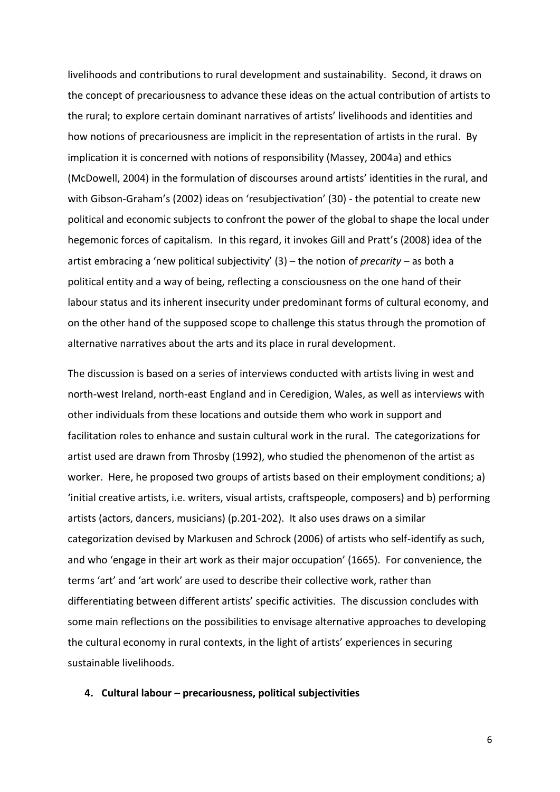livelihoods and contributions to rural development and sustainability. Second, it draws on the concept of precariousness to advance these ideas on the actual contribution of artists to the rural; to explore certain dominant narratives of artists' livelihoods and identities and how notions of precariousness are implicit in the representation of artists in the rural. By implication it is concerned with notions of responsibility (Massey, 2004a) and ethics (McDowell, 2004) in the formulation of discourses around artists' identities in the rural, and with Gibson-Graham's (2002) ideas on 'resubjectivation' (30) - the potential to create new political and economic subjects to confront the power of the global to shape the local under hegemonic forces of capitalism. In this regard, it invokes Gill and Pratt's (2008) idea of the artist embracing a 'new political subjectivity' (3) – the notion of *precarity* – as both a political entity and a way of being, reflecting a consciousness on the one hand of their labour status and its inherent insecurity under predominant forms of cultural economy, and on the other hand of the supposed scope to challenge this status through the promotion of alternative narratives about the arts and its place in rural development.

The discussion is based on a series of interviews conducted with artists living in west and north-west Ireland, north-east England and in Ceredigion, Wales, as well as interviews with other individuals from these locations and outside them who work in support and facilitation roles to enhance and sustain cultural work in the rural. The categorizations for artist used are drawn from Throsby (1992), who studied the phenomenon of the artist as worker. Here, he proposed two groups of artists based on their employment conditions; a) 'initial creative artists, i.e. writers, visual artists, craftspeople, composers) and b) performing artists (actors, dancers, musicians) (p.201-202). It also uses draws on a similar categorization devised by Markusen and Schrock (2006) of artists who self-identify as such, and who 'engage in their art work as their major occupation' (1665). For convenience, the terms 'art' and 'art work' are used to describe their collective work, rather than differentiating between different artists' specific activities. The discussion concludes with some main reflections on the possibilities to envisage alternative approaches to developing the cultural economy in rural contexts, in the light of artists' experiences in securing sustainable livelihoods.

## **4. Cultural labour – precariousness, political subjectivities**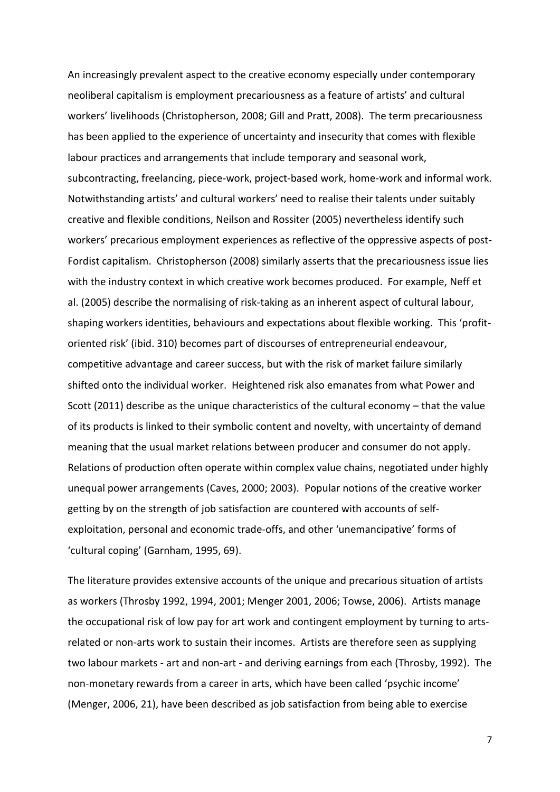An increasingly prevalent aspect to the creative economy especially under contemporary neoliberal capitalism is employment precariousness as a feature of artists' and cultural workers' livelihoods (Christopherson, 2008; Gill and Pratt, 2008). The term precariousness has been applied to the experience of uncertainty and insecurity that comes with flexible labour practices and arrangements that include temporary and seasonal work, subcontracting, freelancing, piece-work, project-based work, home-work and informal work. Notwithstanding artists' and cultural workers' need to realise their talents under suitably creative and flexible conditions, Neilson and Rossiter (2005) nevertheless identify such workers' precarious employment experiences as reflective of the oppressive aspects of post-Fordist capitalism. Christopherson (2008) similarly asserts that the precariousness issue lies with the industry context in which creative work becomes produced. For example, Neff et al. (2005) describe the normalising of risk-taking as an inherent aspect of cultural labour, shaping workers identities, behaviours and expectations about flexible working. This 'profitoriented risk' (ibid. 310) becomes part of discourses of entrepreneurial endeavour, competitive advantage and career success, but with the risk of market failure similarly shifted onto the individual worker. Heightened risk also emanates from what Power and Scott (2011) describe as the unique characteristics of the cultural economy – that the value of its products is linked to their symbolic content and novelty, with uncertainty of demand meaning that the usual market relations between producer and consumer do not apply. Relations of production often operate within complex value chains, negotiated under highly unequal power arrangements (Caves, 2000; 2003). Popular notions of the creative worker getting by on the strength of job satisfaction are countered with accounts of selfexploitation, personal and economic trade-offs, and other 'unemancipative' forms of 'cultural coping' (Garnham, 1995, 69).

The literature provides extensive accounts of the unique and precarious situation of artists as workers (Throsby 1992, 1994, 2001; Menger 2001, 2006; Towse, 2006). Artists manage the occupational risk of low pay for art work and contingent employment by turning to artsrelated or non-arts work to sustain their incomes. Artists are therefore seen as supplying two labour markets - art and non-art - and deriving earnings from each (Throsby, 1992). The non-monetary rewards from a career in arts, which have been called 'psychic income' (Menger, 2006, 21), have been described as job satisfaction from being able to exercise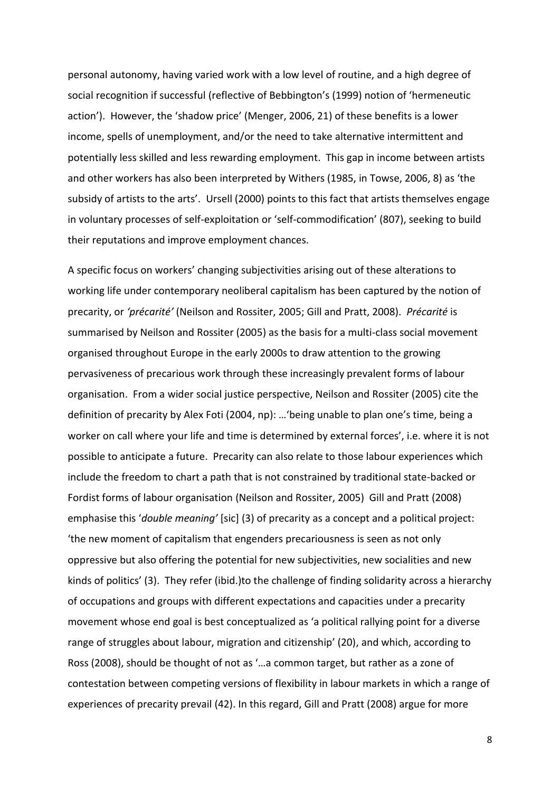personal autonomy, having varied work with a low level of routine, and a high degree of social recognition if successful (reflective of Bebbington's (1999) notion of 'hermeneutic action'). However, the 'shadow price' (Menger, 2006, 21) of these benefits is a lower income, spells of unemployment, and/or the need to take alternative intermittent and potentially less skilled and less rewarding employment. This gap in income between artists and other workers has also been interpreted by Withers (1985, in Towse, 2006, 8) as 'the subsidy of artists to the arts'. Ursell (2000) points to this fact that artists themselves engage in voluntary processes of self-exploitation or 'self-commodification' (807), seeking to build their reputations and improve employment chances.

A specific focus on workers' changing subjectivities arising out of these alterations to working life under contemporary neoliberal capitalism has been captured by the notion of precarity, or *'précarité'* (Neilson and Rossiter, 2005; Gill and Pratt, 2008). *Précarité* is summarised by Neilson and Rossiter (2005) as the basis for a multi-class social movement organised throughout Europe in the early 2000s to draw attention to the growing pervasiveness of precarious work through these increasingly prevalent forms of labour organisation. From a wider social justice perspective, Neilson and Rossiter (2005) cite the definition of precarity by Alex Foti (2004, np): …'being unable to plan one's time, being a worker on call where your life and time is determined by external forces', i.e. where it is not possible to anticipate a future. Precarity can also relate to those labour experiences which include the freedom to chart a path that is not constrained by traditional state-backed or Fordist forms of labour organisation (Neilson and Rossiter, 2005) Gill and Pratt (2008) emphasise this '*double meaning'* [sic] (3) of precarity as a concept and a political project: 'the new moment of capitalism that engenders precariousness is seen as not only oppressive but also offering the potential for new subjectivities, new socialities and new kinds of politics' (3). They refer (ibid.)to the challenge of finding solidarity across a hierarchy of occupations and groups with different expectations and capacities under a precarity movement whose end goal is best conceptualized as 'a political rallying point for a diverse range of struggles about labour, migration and citizenship' (20), and which, according to Ross (2008), should be thought of not as '…a common target, but rather as a zone of contestation between competing versions of flexibility in labour markets in which a range of experiences of precarity prevail (42). In this regard, Gill and Pratt (2008) argue for more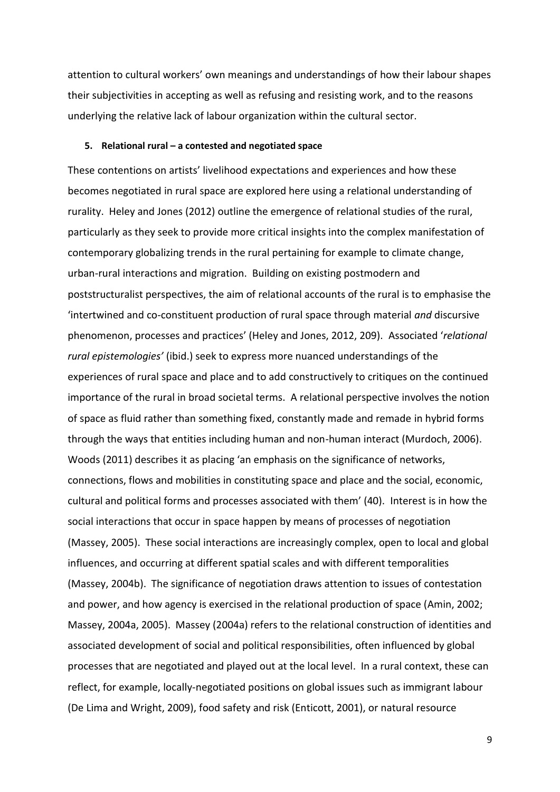attention to cultural workers' own meanings and understandings of how their labour shapes their subjectivities in accepting as well as refusing and resisting work, and to the reasons underlying the relative lack of labour organization within the cultural sector.

### **5. Relational rural – a contested and negotiated space**

These contentions on artists' livelihood expectations and experiences and how these becomes negotiated in rural space are explored here using a relational understanding of rurality. Heley and Jones (2012) outline the emergence of relational studies of the rural, particularly as they seek to provide more critical insights into the complex manifestation of contemporary globalizing trends in the rural pertaining for example to climate change, urban-rural interactions and migration. Building on existing postmodern and poststructuralist perspectives, the aim of relational accounts of the rural is to emphasise the 'intertwined and co-constituent production of rural space through material *and* discursive phenomenon, processes and practices' (Heley and Jones, 2012, 209). Associated '*relational rural epistemologies'* (ibid.) seek to express more nuanced understandings of the experiences of rural space and place and to add constructively to critiques on the continued importance of the rural in broad societal terms. A relational perspective involves the notion of space as fluid rather than something fixed, constantly made and remade in hybrid forms through the ways that entities including human and non-human interact (Murdoch, 2006). Woods (2011) describes it as placing 'an emphasis on the significance of networks, connections, flows and mobilities in constituting space and place and the social, economic, cultural and political forms and processes associated with them' (40). Interest is in how the social interactions that occur in space happen by means of processes of negotiation (Massey, 2005). These social interactions are increasingly complex, open to local and global influences, and occurring at different spatial scales and with different temporalities (Massey, 2004b). The significance of negotiation draws attention to issues of contestation and power, and how agency is exercised in the relational production of space (Amin, 2002; Massey, 2004a, 2005). Massey (2004a) refers to the relational construction of identities and associated development of social and political responsibilities, often influenced by global processes that are negotiated and played out at the local level. In a rural context, these can reflect, for example, locally-negotiated positions on global issues such as immigrant labour (De Lima and Wright, 2009), food safety and risk (Enticott, 2001), or natural resource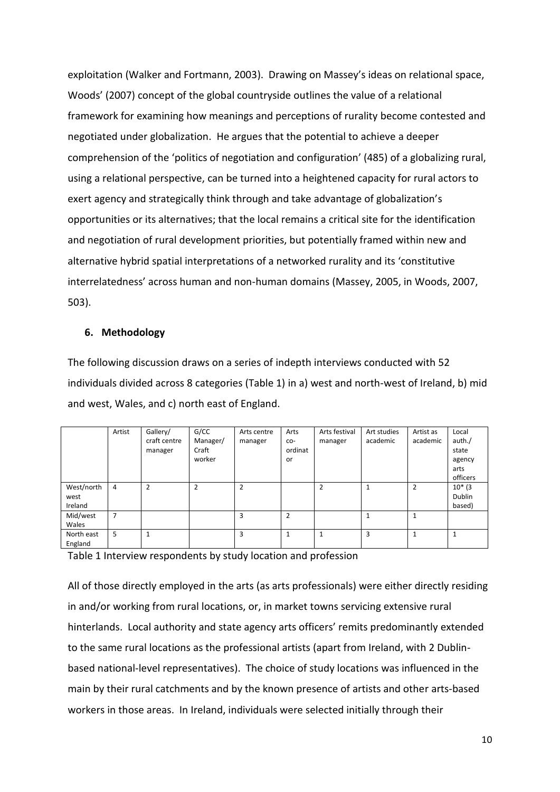exploitation (Walker and Fortmann, 2003). Drawing on Massey's ideas on relational space, Woods' (2007) concept of the global countryside outlines the value of a relational framework for examining how meanings and perceptions of rurality become contested and negotiated under globalization. He argues that the potential to achieve a deeper comprehension of the 'politics of negotiation and configuration' (485) of a globalizing rural, using a relational perspective, can be turned into a heightened capacity for rural actors to exert agency and strategically think through and take advantage of globalization's opportunities or its alternatives; that the local remains a critical site for the identification and negotiation of rural development priorities, but potentially framed within new and alternative hybrid spatial interpretations of a networked rurality and its 'constitutive interrelatedness' across human and non-human domains (Massey, 2005, in Woods, 2007, 503).

## **6. Methodology**

The following discussion draws on a series of indepth interviews conducted with 52 individuals divided across 8 categories (Table 1) in a) west and north-west of Ireland, b) mid and west, Wales, and c) north east of England.

|            | Artist         | Gallery/       | G/CC           | Arts centre    | Arts    | Arts festival  | Art studies | Artist as      | Local         |
|------------|----------------|----------------|----------------|----------------|---------|----------------|-------------|----------------|---------------|
|            |                | craft centre   | Manager/       | manager        | CO-     | manager        | academic    | academic       | auth./        |
|            |                | manager        | Craft          |                | ordinat |                |             |                | state         |
|            |                |                | worker         |                | or      |                |             |                | agency        |
|            |                |                |                |                |         |                |             |                | arts          |
|            |                |                |                |                |         |                |             |                | officers      |
| West/north | $\overline{4}$ | $\overline{2}$ | $\overline{2}$ | $\overline{2}$ |         | $\overline{2}$ |             | $\overline{2}$ | $10*$ (3)     |
| west       |                |                |                |                |         |                |             |                | <b>Dublin</b> |
| Ireland    |                |                |                |                |         |                |             |                | based)        |
| Mid/west   | 7              |                |                | 3              | 2       |                |             | 1              |               |
| Wales      |                |                |                |                |         |                |             |                |               |
| North east | 5              | 1              |                | 3              | 1       |                | 3           | $\mathbf{1}$   |               |
| England    |                |                |                |                |         |                |             |                |               |

Table 1 Interview respondents by study location and profession

All of those directly employed in the arts (as arts professionals) were either directly residing in and/or working from rural locations, or, in market towns servicing extensive rural hinterlands. Local authority and state agency arts officers' remits predominantly extended to the same rural locations as the professional artists (apart from Ireland, with 2 Dublinbased national-level representatives). The choice of study locations was influenced in the main by their rural catchments and by the known presence of artists and other arts-based workers in those areas. In Ireland, individuals were selected initially through their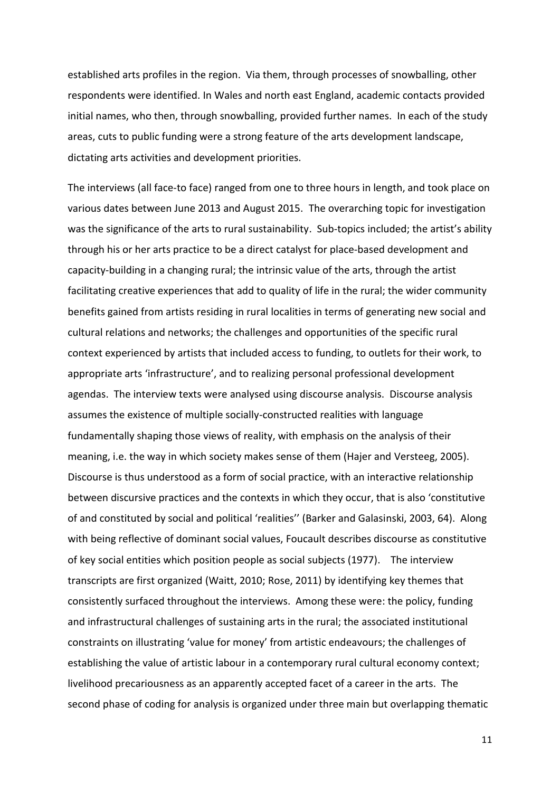established arts profiles in the region. Via them, through processes of snowballing, other respondents were identified. In Wales and north east England, academic contacts provided initial names, who then, through snowballing, provided further names. In each of the study areas, cuts to public funding were a strong feature of the arts development landscape, dictating arts activities and development priorities.

The interviews (all face-to face) ranged from one to three hours in length, and took place on various dates between June 2013 and August 2015. The overarching topic for investigation was the significance of the arts to rural sustainability. Sub-topics included; the artist's ability through his or her arts practice to be a direct catalyst for place-based development and capacity-building in a changing rural; the intrinsic value of the arts, through the artist facilitating creative experiences that add to quality of life in the rural; the wider community benefits gained from artists residing in rural localities in terms of generating new social and cultural relations and networks; the challenges and opportunities of the specific rural context experienced by artists that included access to funding, to outlets for their work, to appropriate arts 'infrastructure', and to realizing personal professional development agendas. The interview texts were analysed using discourse analysis. Discourse analysis assumes the existence of multiple socially-constructed realities with language fundamentally shaping those views of reality, with emphasis on the analysis of their meaning, i.e. the way in which society makes sense of them (Hajer and Versteeg, 2005). Discourse is thus understood as a form of social practice, with an interactive relationship between discursive practices and the contexts in which they occur, that is also 'constitutive of and constituted by social and political 'realities'' (Barker and Galasinski, 2003, 64). Along with being reflective of dominant social values, Foucault describes discourse as constitutive of key social entities which position people as social subjects (1977). The interview transcripts are first organized (Waitt, 2010; Rose, 2011) by identifying key themes that consistently surfaced throughout the interviews. Among these were: the policy, funding and infrastructural challenges of sustaining arts in the rural; the associated institutional constraints on illustrating 'value for money' from artistic endeavours; the challenges of establishing the value of artistic labour in a contemporary rural cultural economy context; livelihood precariousness as an apparently accepted facet of a career in the arts. The second phase of coding for analysis is organized under three main but overlapping thematic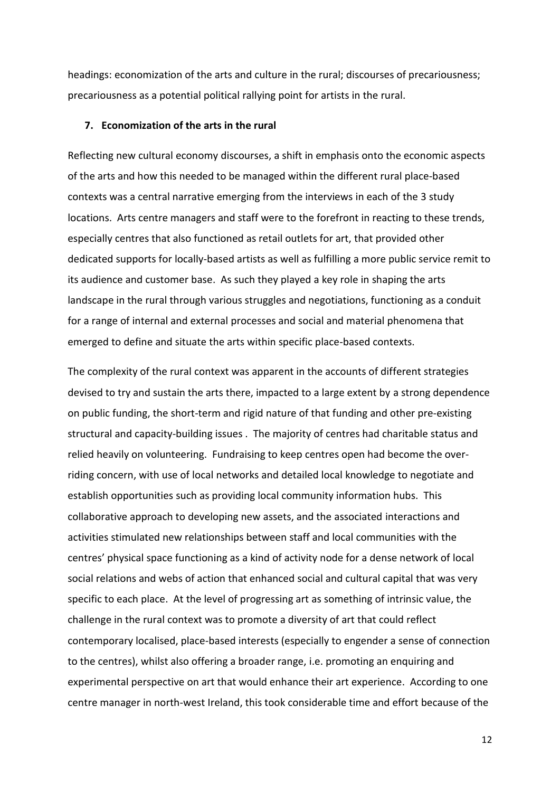headings: economization of the arts and culture in the rural; discourses of precariousness; precariousness as a potential political rallying point for artists in the rural.

## **7. Economization of the arts in the rural**

Reflecting new cultural economy discourses, a shift in emphasis onto the economic aspects of the arts and how this needed to be managed within the different rural place-based contexts was a central narrative emerging from the interviews in each of the 3 study locations. Arts centre managers and staff were to the forefront in reacting to these trends, especially centres that also functioned as retail outlets for art, that provided other dedicated supports for locally-based artists as well as fulfilling a more public service remit to its audience and customer base. As such they played a key role in shaping the arts landscape in the rural through various struggles and negotiations, functioning as a conduit for a range of internal and external processes and social and material phenomena that emerged to define and situate the arts within specific place-based contexts.

The complexity of the rural context was apparent in the accounts of different strategies devised to try and sustain the arts there, impacted to a large extent by a strong dependence on public funding, the short-term and rigid nature of that funding and other pre-existing structural and capacity-building issues . The majority of centres had charitable status and relied heavily on volunteering. Fundraising to keep centres open had become the overriding concern, with use of local networks and detailed local knowledge to negotiate and establish opportunities such as providing local community information hubs. This collaborative approach to developing new assets, and the associated interactions and activities stimulated new relationships between staff and local communities with the centres' physical space functioning as a kind of activity node for a dense network of local social relations and webs of action that enhanced social and cultural capital that was very specific to each place. At the level of progressing art as something of intrinsic value, the challenge in the rural context was to promote a diversity of art that could reflect contemporary localised, place-based interests (especially to engender a sense of connection to the centres), whilst also offering a broader range, i.e. promoting an enquiring and experimental perspective on art that would enhance their art experience. According to one centre manager in north-west Ireland, this took considerable time and effort because of the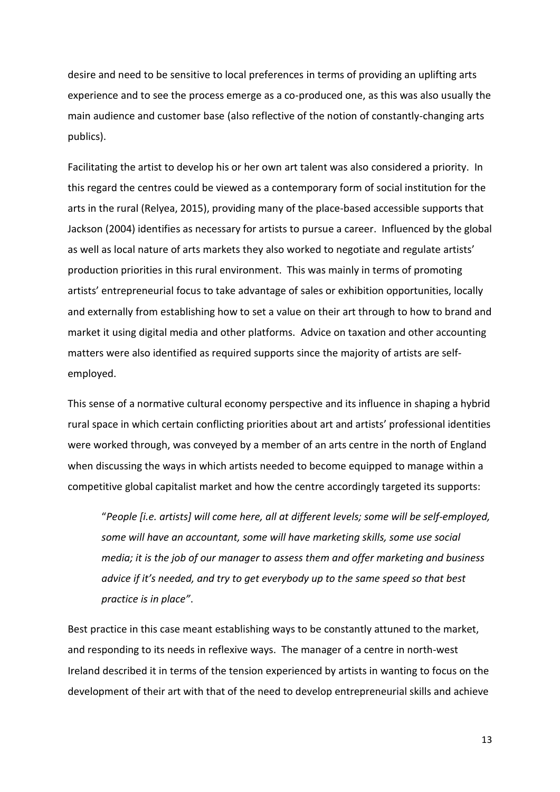desire and need to be sensitive to local preferences in terms of providing an uplifting arts experience and to see the process emerge as a co-produced one, as this was also usually the main audience and customer base (also reflective of the notion of constantly-changing arts publics).

Facilitating the artist to develop his or her own art talent was also considered a priority. In this regard the centres could be viewed as a contemporary form of social institution for the arts in the rural (Relyea, 2015), providing many of the place-based accessible supports that Jackson (2004) identifies as necessary for artists to pursue a career. Influenced by the global as well as local nature of arts markets they also worked to negotiate and regulate artists' production priorities in this rural environment. This was mainly in terms of promoting artists' entrepreneurial focus to take advantage of sales or exhibition opportunities, locally and externally from establishing how to set a value on their art through to how to brand and market it using digital media and other platforms. Advice on taxation and other accounting matters were also identified as required supports since the majority of artists are selfemployed.

This sense of a normative cultural economy perspective and its influence in shaping a hybrid rural space in which certain conflicting priorities about art and artists' professional identities were worked through, was conveyed by a member of an arts centre in the north of England when discussing the ways in which artists needed to become equipped to manage within a competitive global capitalist market and how the centre accordingly targeted its supports:

"*People [i.e. artists] will come here, all at different levels; some will be self-employed, some will have an accountant, some will have marketing skills, some use social media; it is the job of our manager to assess them and offer marketing and business advice if it's needed, and try to get everybody up to the same speed so that best practice is in place"*.

Best practice in this case meant establishing ways to be constantly attuned to the market, and responding to its needs in reflexive ways. The manager of a centre in north-west Ireland described it in terms of the tension experienced by artists in wanting to focus on the development of their art with that of the need to develop entrepreneurial skills and achieve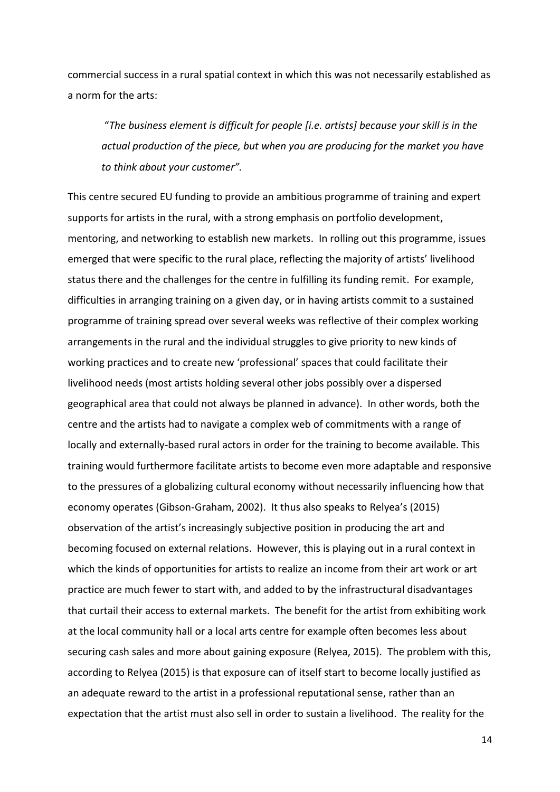commercial success in a rural spatial context in which this was not necessarily established as a norm for the arts:

"*The business element is difficult for people [i.e. artists] because your skill is in the actual production of the piece, but when you are producing for the market you have to think about your customer".* 

This centre secured EU funding to provide an ambitious programme of training and expert supports for artists in the rural, with a strong emphasis on portfolio development, mentoring, and networking to establish new markets. In rolling out this programme, issues emerged that were specific to the rural place, reflecting the majority of artists' livelihood status there and the challenges for the centre in fulfilling its funding remit. For example, difficulties in arranging training on a given day, or in having artists commit to a sustained programme of training spread over several weeks was reflective of their complex working arrangements in the rural and the individual struggles to give priority to new kinds of working practices and to create new 'professional' spaces that could facilitate their livelihood needs (most artists holding several other jobs possibly over a dispersed geographical area that could not always be planned in advance). In other words, both the centre and the artists had to navigate a complex web of commitments with a range of locally and externally-based rural actors in order for the training to become available. This training would furthermore facilitate artists to become even more adaptable and responsive to the pressures of a globalizing cultural economy without necessarily influencing how that economy operates (Gibson-Graham, 2002). It thus also speaks to Relyea's (2015) observation of the artist's increasingly subjective position in producing the art and becoming focused on external relations. However, this is playing out in a rural context in which the kinds of opportunities for artists to realize an income from their art work or art practice are much fewer to start with, and added to by the infrastructural disadvantages that curtail their access to external markets. The benefit for the artist from exhibiting work at the local community hall or a local arts centre for example often becomes less about securing cash sales and more about gaining exposure (Relyea, 2015). The problem with this, according to Relyea (2015) is that exposure can of itself start to become locally justified as an adequate reward to the artist in a professional reputational sense, rather than an expectation that the artist must also sell in order to sustain a livelihood. The reality for the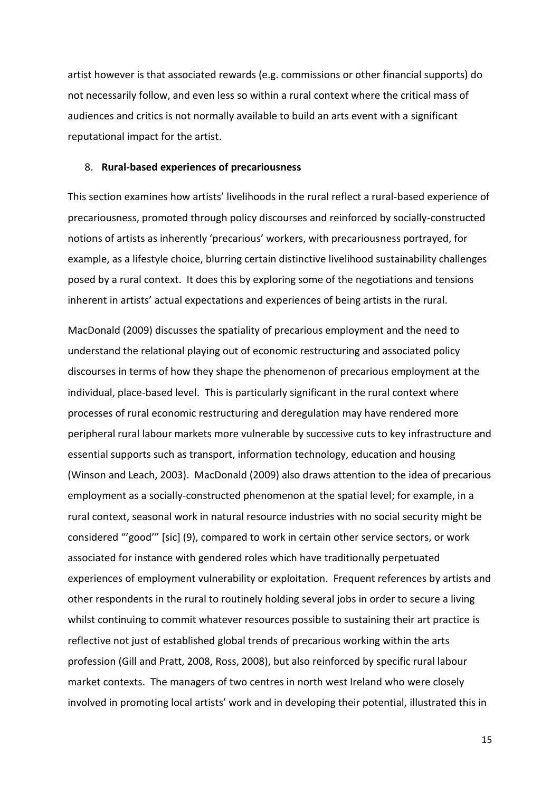artist however is that associated rewards (e.g. commissions or other financial supports) do not necessarily follow, and even less so within a rural context where the critical mass of audiences and critics is not normally available to build an arts event with a significant reputational impact for the artist.

### 8. **Rural-based experiences of precariousness**

This section examines how artists' livelihoods in the rural reflect a rural-based experience of precariousness, promoted through policy discourses and reinforced by socially-constructed notions of artists as inherently 'precarious' workers, with precariousness portrayed, for example, as a lifestyle choice, blurring certain distinctive livelihood sustainability challenges posed by a rural context. It does this by exploring some of the negotiations and tensions inherent in artists' actual expectations and experiences of being artists in the rural.

MacDonald (2009) discusses the spatiality of precarious employment and the need to understand the relational playing out of economic restructuring and associated policy discourses in terms of how they shape the phenomenon of precarious employment at the individual, place-based level. This is particularly significant in the rural context where processes of rural economic restructuring and deregulation may have rendered more peripheral rural labour markets more vulnerable by successive cuts to key infrastructure and essential supports such as transport, information technology, education and housing (Winson and Leach, 2003). MacDonald (2009) also draws attention to the idea of precarious employment as a socially-constructed phenomenon at the spatial level; for example, in a rural context, seasonal work in natural resource industries with no social security might be considered "'good'" [sic] (9), compared to work in certain other service sectors, or work associated for instance with gendered roles which have traditionally perpetuated experiences of employment vulnerability or exploitation. Frequent references by artists and other respondents in the rural to routinely holding several jobs in order to secure a living whilst continuing to commit whatever resources possible to sustaining their art practice is reflective not just of established global trends of precarious working within the arts profession (Gill and Pratt, 2008, Ross, 2008), but also reinforced by specific rural labour market contexts. The managers of two centres in north west Ireland who were closely involved in promoting local artists' work and in developing their potential, illustrated this in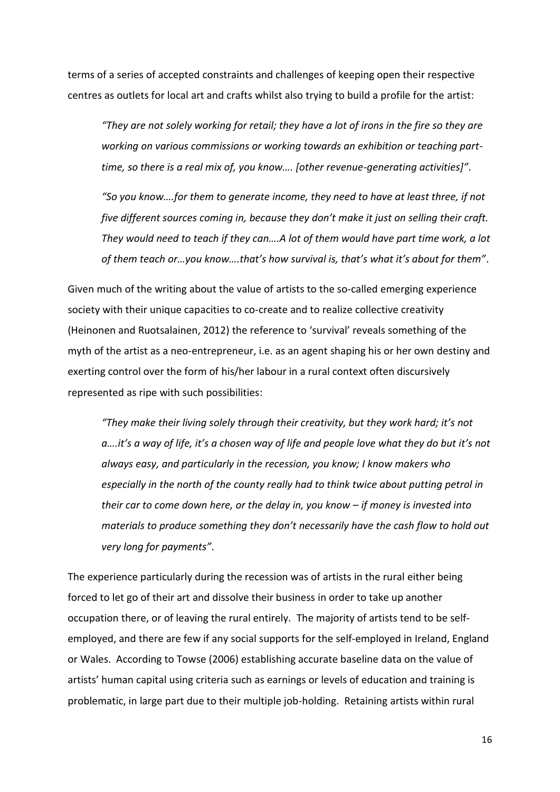terms of a series of accepted constraints and challenges of keeping open their respective centres as outlets for local art and crafts whilst also trying to build a profile for the artist:

*"They are not solely working for retail; they have a lot of irons in the fire so they are working on various commissions or working towards an exhibition or teaching parttime, so there is a real mix of, you know…. [other revenue-generating activities]"*.

*"So you know….for them to generate income, they need to have at least three, if not five different sources coming in, because they don't make it just on selling their craft. They would need to teach if they can….A lot of them would have part time work, a lot of them teach or…you know….that's how survival is, that's what it's about for them"*.

Given much of the writing about the value of artists to the so-called emerging experience society with their unique capacities to co-create and to realize collective creativity (Heinonen and Ruotsalainen, 2012) the reference to 'survival' reveals something of the myth of the artist as a neo-entrepreneur, i.e. as an agent shaping his or her own destiny and exerting control over the form of his/her labour in a rural context often discursively represented as ripe with such possibilities:

*"They make their living solely through their creativity, but they work hard; it's not a….it's a way of life, it's a chosen way of life and people love what they do but it's not always easy, and particularly in the recession, you know; I know makers who especially in the north of the county really had to think twice about putting petrol in their car to come down here, or the delay in, you know – if money is invested into materials to produce something they don't necessarily have the cash flow to hold out very long for payments"*.

The experience particularly during the recession was of artists in the rural either being forced to let go of their art and dissolve their business in order to take up another occupation there, or of leaving the rural entirely. The majority of artists tend to be selfemployed, and there are few if any social supports for the self-employed in Ireland, England or Wales. According to Towse (2006) establishing accurate baseline data on the value of artists' human capital using criteria such as earnings or levels of education and training is problematic, in large part due to their multiple job-holding. Retaining artists within rural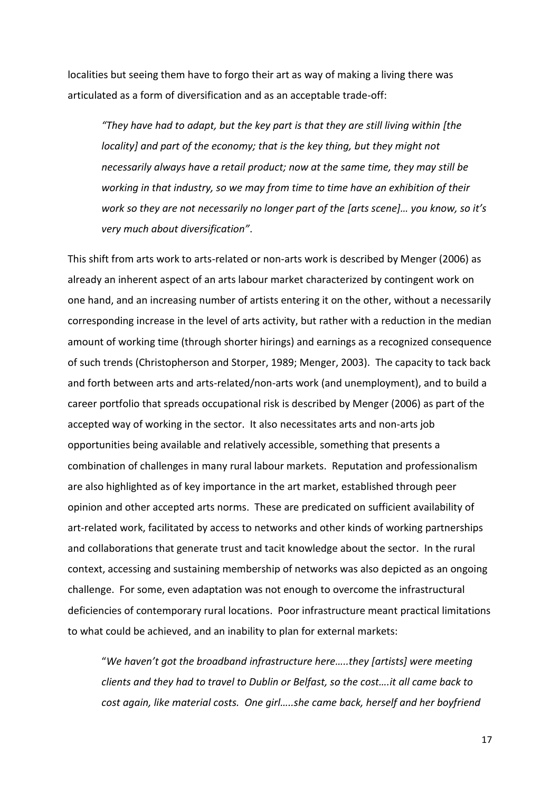localities but seeing them have to forgo their art as way of making a living there was articulated as a form of diversification and as an acceptable trade-off:

*"They have had to adapt, but the key part is that they are still living within [the locality] and part of the economy; that is the key thing, but they might not necessarily always have a retail product; now at the same time, they may still be working in that industry, so we may from time to time have an exhibition of their work so they are not necessarily no longer part of the [arts scene]… you know, so it's very much about diversification"*.

This shift from arts work to arts-related or non-arts work is described by Menger (2006) as already an inherent aspect of an arts labour market characterized by contingent work on one hand, and an increasing number of artists entering it on the other, without a necessarily corresponding increase in the level of arts activity, but rather with a reduction in the median amount of working time (through shorter hirings) and earnings as a recognized consequence of such trends (Christopherson and Storper, 1989; Menger, 2003). The capacity to tack back and forth between arts and arts-related/non-arts work (and unemployment), and to build a career portfolio that spreads occupational risk is described by Menger (2006) as part of the accepted way of working in the sector. It also necessitates arts and non-arts job opportunities being available and relatively accessible, something that presents a combination of challenges in many rural labour markets. Reputation and professionalism are also highlighted as of key importance in the art market, established through peer opinion and other accepted arts norms. These are predicated on sufficient availability of art-related work, facilitated by access to networks and other kinds of working partnerships and collaborations that generate trust and tacit knowledge about the sector. In the rural context, accessing and sustaining membership of networks was also depicted as an ongoing challenge. For some, even adaptation was not enough to overcome the infrastructural deficiencies of contemporary rural locations. Poor infrastructure meant practical limitations to what could be achieved, and an inability to plan for external markets:

"*We haven't got the broadband infrastructure here…..they [artists] were meeting clients and they had to travel to Dublin or Belfast, so the cost….it all came back to cost again, like material costs. One girl…..she came back, herself and her boyfriend*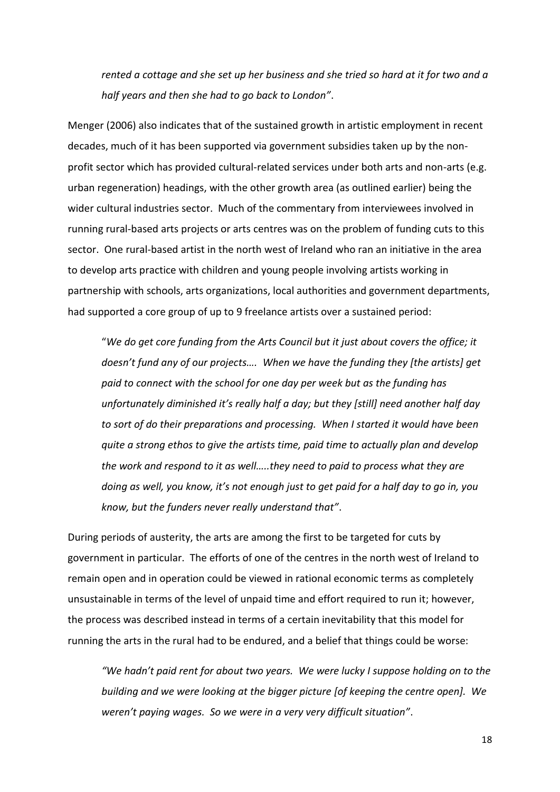*rented a cottage and she set up her business and she tried so hard at it for two and a half years and then she had to go back to London"*.

Menger (2006) also indicates that of the sustained growth in artistic employment in recent decades, much of it has been supported via government subsidies taken up by the nonprofit sector which has provided cultural-related services under both arts and non-arts (e.g. urban regeneration) headings, with the other growth area (as outlined earlier) being the wider cultural industries sector. Much of the commentary from interviewees involved in running rural-based arts projects or arts centres was on the problem of funding cuts to this sector. One rural-based artist in the north west of Ireland who ran an initiative in the area to develop arts practice with children and young people involving artists working in partnership with schools, arts organizations, local authorities and government departments, had supported a core group of up to 9 freelance artists over a sustained period:

"*We do get core funding from the Arts Council but it just about covers the office; it doesn't fund any of our projects…. When we have the funding they [the artists] get paid to connect with the school for one day per week but as the funding has unfortunately diminished it's really half a day; but they [still] need another half day to sort of do their preparations and processing. When I started it would have been quite a strong ethos to give the artists time, paid time to actually plan and develop the work and respond to it as well…..they need to paid to process what they are doing as well, you know, it's not enough just to get paid for a half day to go in, you know, but the funders never really understand that"*.

During periods of austerity, the arts are among the first to be targeted for cuts by government in particular. The efforts of one of the centres in the north west of Ireland to remain open and in operation could be viewed in rational economic terms as completely unsustainable in terms of the level of unpaid time and effort required to run it; however, the process was described instead in terms of a certain inevitability that this model for running the arts in the rural had to be endured, and a belief that things could be worse:

*"We hadn't paid rent for about two years. We were lucky I suppose holding on to the building and we were looking at the bigger picture [of keeping the centre open]. We weren't paying wages. So we were in a very very difficult situation"*.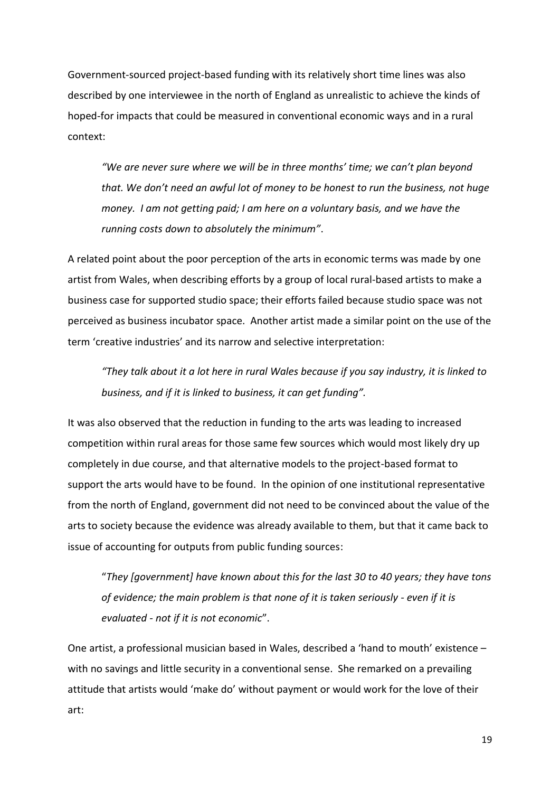Government-sourced project-based funding with its relatively short time lines was also described by one interviewee in the north of England as unrealistic to achieve the kinds of hoped-for impacts that could be measured in conventional economic ways and in a rural context:

*"We are never sure where we will be in three months' time; we can't plan beyond that. We don't need an awful lot of money to be honest to run the business, not huge money. I am not getting paid; I am here on a voluntary basis, and we have the running costs down to absolutely the minimum"*.

A related point about the poor perception of the arts in economic terms was made by one artist from Wales, when describing efforts by a group of local rural-based artists to make a business case for supported studio space; their efforts failed because studio space was not perceived as business incubator space. Another artist made a similar point on the use of the term 'creative industries' and its narrow and selective interpretation:

*"They talk about it a lot here in rural Wales because if you say industry, it is linked to business, and if it is linked to business, it can get funding".* 

It was also observed that the reduction in funding to the arts was leading to increased competition within rural areas for those same few sources which would most likely dry up completely in due course, and that alternative models to the project-based format to support the arts would have to be found. In the opinion of one institutional representative from the north of England, government did not need to be convinced about the value of the arts to society because the evidence was already available to them, but that it came back to issue of accounting for outputs from public funding sources:

"*They [government] have known about this for the last 30 to 40 years; they have tons of evidence; the main problem is that none of it is taken seriously - even if it is evaluated - not if it is not economic*".

One artist, a professional musician based in Wales, described a 'hand to mouth' existence – with no savings and little security in a conventional sense. She remarked on a prevailing attitude that artists would 'make do' without payment or would work for the love of their art: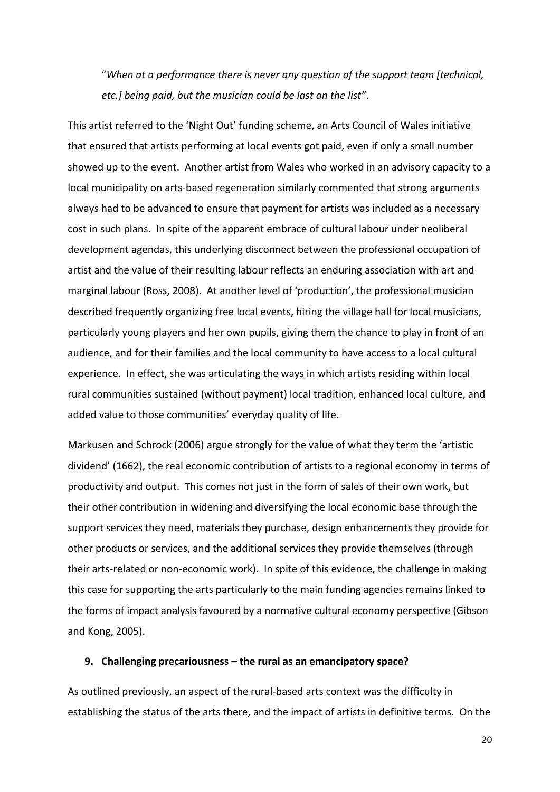"*When at a performance there is never any question of the support team [technical, etc.] being paid, but the musician could be last on the list"*.

This artist referred to the 'Night Out' funding scheme, an Arts Council of Wales initiative that ensured that artists performing at local events got paid, even if only a small number showed up to the event. Another artist from Wales who worked in an advisory capacity to a local municipality on arts-based regeneration similarly commented that strong arguments always had to be advanced to ensure that payment for artists was included as a necessary cost in such plans. In spite of the apparent embrace of cultural labour under neoliberal development agendas, this underlying disconnect between the professional occupation of artist and the value of their resulting labour reflects an enduring association with art and marginal labour (Ross, 2008). At another level of 'production', the professional musician described frequently organizing free local events, hiring the village hall for local musicians, particularly young players and her own pupils, giving them the chance to play in front of an audience, and for their families and the local community to have access to a local cultural experience. In effect, she was articulating the ways in which artists residing within local rural communities sustained (without payment) local tradition, enhanced local culture, and added value to those communities' everyday quality of life.

Markusen and Schrock (2006) argue strongly for the value of what they term the 'artistic dividend' (1662), the real economic contribution of artists to a regional economy in terms of productivity and output. This comes not just in the form of sales of their own work, but their other contribution in widening and diversifying the local economic base through the support services they need, materials they purchase, design enhancements they provide for other products or services, and the additional services they provide themselves (through their arts-related or non-economic work). In spite of this evidence, the challenge in making this case for supporting the arts particularly to the main funding agencies remains linked to the forms of impact analysis favoured by a normative cultural economy perspective (Gibson and Kong, 2005).

## **9. Challenging precariousness – the rural as an emancipatory space?**

As outlined previously, an aspect of the rural-based arts context was the difficulty in establishing the status of the arts there, and the impact of artists in definitive terms. On the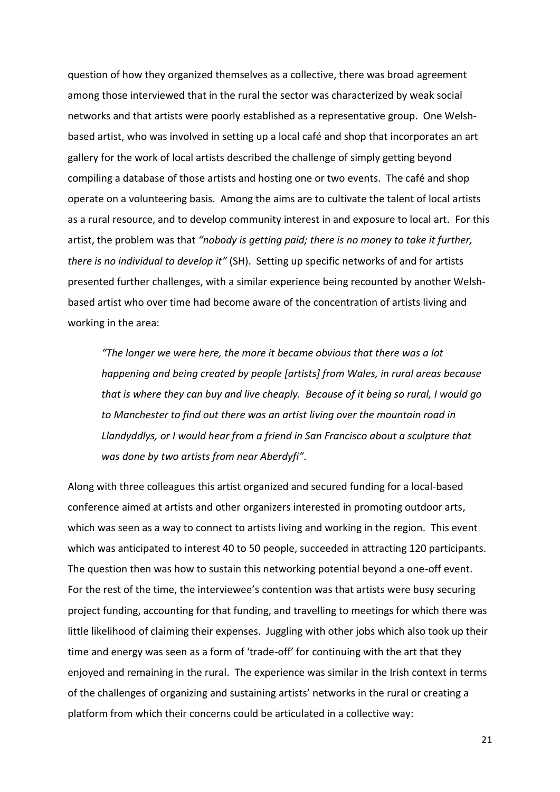question of how they organized themselves as a collective, there was broad agreement among those interviewed that in the rural the sector was characterized by weak social networks and that artists were poorly established as a representative group. One Welshbased artist, who was involved in setting up a local café and shop that incorporates an art gallery for the work of local artists described the challenge of simply getting beyond compiling a database of those artists and hosting one or two events. The café and shop operate on a volunteering basis. Among the aims are to cultivate the talent of local artists as a rural resource, and to develop community interest in and exposure to local art. For this artist, the problem was that *"nobody is getting paid; there is no money to take it further, there is no individual to develop it"* (SH). Setting up specific networks of and for artists presented further challenges, with a similar experience being recounted by another Welshbased artist who over time had become aware of the concentration of artists living and working in the area:

*"The longer we were here, the more it became obvious that there was a lot happening and being created by people [artists] from Wales, in rural areas because that is where they can buy and live cheaply. Because of it being so rural, I would go to Manchester to find out there was an artist living over the mountain road in Llandyddlys, or I would hear from a friend in San Francisco about a sculpture that was done by two artists from near Aberdyfi"*.

Along with three colleagues this artist organized and secured funding for a local-based conference aimed at artists and other organizers interested in promoting outdoor arts, which was seen as a way to connect to artists living and working in the region. This event which was anticipated to interest 40 to 50 people, succeeded in attracting 120 participants. The question then was how to sustain this networking potential beyond a one-off event. For the rest of the time, the interviewee's contention was that artists were busy securing project funding, accounting for that funding, and travelling to meetings for which there was little likelihood of claiming their expenses. Juggling with other jobs which also took up their time and energy was seen as a form of 'trade-off' for continuing with the art that they enjoyed and remaining in the rural. The experience was similar in the Irish context in terms of the challenges of organizing and sustaining artists' networks in the rural or creating a platform from which their concerns could be articulated in a collective way: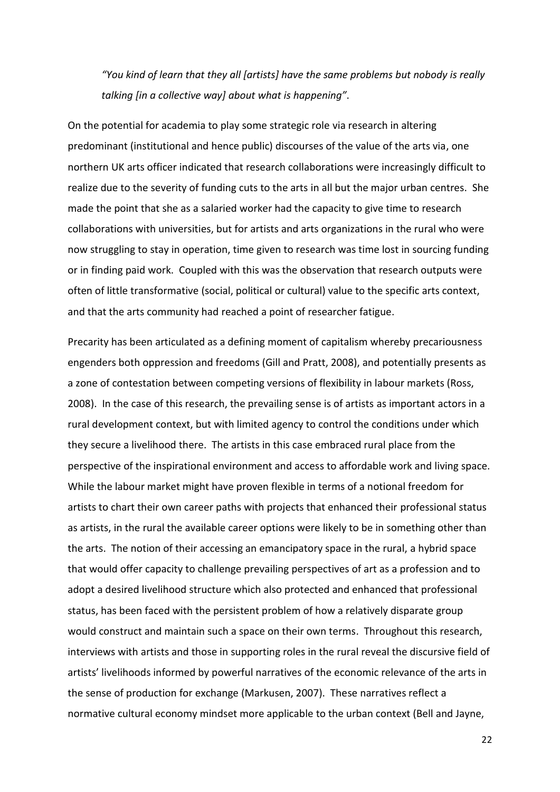*"You kind of learn that they all [artists] have the same problems but nobody is really talking [in a collective way] about what is happening"*.

On the potential for academia to play some strategic role via research in altering predominant (institutional and hence public) discourses of the value of the arts via, one northern UK arts officer indicated that research collaborations were increasingly difficult to realize due to the severity of funding cuts to the arts in all but the major urban centres. She made the point that she as a salaried worker had the capacity to give time to research collaborations with universities, but for artists and arts organizations in the rural who were now struggling to stay in operation, time given to research was time lost in sourcing funding or in finding paid work. Coupled with this was the observation that research outputs were often of little transformative (social, political or cultural) value to the specific arts context, and that the arts community had reached a point of researcher fatigue.

Precarity has been articulated as a defining moment of capitalism whereby precariousness engenders both oppression and freedoms (Gill and Pratt, 2008), and potentially presents as a zone of contestation between competing versions of flexibility in labour markets (Ross, 2008). In the case of this research, the prevailing sense is of artists as important actors in a rural development context, but with limited agency to control the conditions under which they secure a livelihood there. The artists in this case embraced rural place from the perspective of the inspirational environment and access to affordable work and living space. While the labour market might have proven flexible in terms of a notional freedom for artists to chart their own career paths with projects that enhanced their professional status as artists, in the rural the available career options were likely to be in something other than the arts. The notion of their accessing an emancipatory space in the rural, a hybrid space that would offer capacity to challenge prevailing perspectives of art as a profession and to adopt a desired livelihood structure which also protected and enhanced that professional status, has been faced with the persistent problem of how a relatively disparate group would construct and maintain such a space on their own terms. Throughout this research, interviews with artists and those in supporting roles in the rural reveal the discursive field of artists' livelihoods informed by powerful narratives of the economic relevance of the arts in the sense of production for exchange (Markusen, 2007). These narratives reflect a normative cultural economy mindset more applicable to the urban context (Bell and Jayne,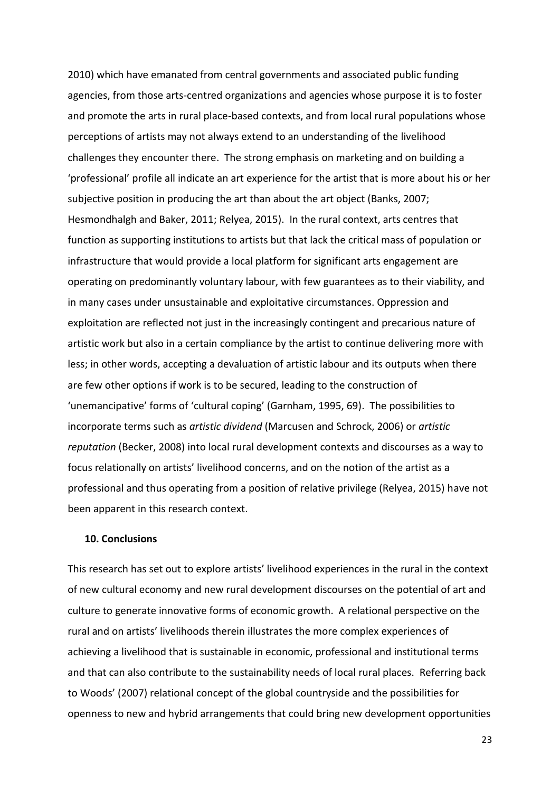2010) which have emanated from central governments and associated public funding agencies, from those arts-centred organizations and agencies whose purpose it is to foster and promote the arts in rural place-based contexts, and from local rural populations whose perceptions of artists may not always extend to an understanding of the livelihood challenges they encounter there. The strong emphasis on marketing and on building a 'professional' profile all indicate an art experience for the artist that is more about his or her subjective position in producing the art than about the art object (Banks, 2007; Hesmondhalgh and Baker, 2011; Relyea, 2015). In the rural context, arts centres that function as supporting institutions to artists but that lack the critical mass of population or infrastructure that would provide a local platform for significant arts engagement are operating on predominantly voluntary labour, with few guarantees as to their viability, and in many cases under unsustainable and exploitative circumstances. Oppression and exploitation are reflected not just in the increasingly contingent and precarious nature of artistic work but also in a certain compliance by the artist to continue delivering more with less; in other words, accepting a devaluation of artistic labour and its outputs when there are few other options if work is to be secured, leading to the construction of 'unemancipative' forms of 'cultural coping' (Garnham, 1995, 69). The possibilities to incorporate terms such as *artistic dividend* (Marcusen and Schrock, 2006) or *artistic reputation* (Becker, 2008) into local rural development contexts and discourses as a way to focus relationally on artists' livelihood concerns, and on the notion of the artist as a professional and thus operating from a position of relative privilege (Relyea, 2015) have not been apparent in this research context.

# **10. Conclusions**

This research has set out to explore artists' livelihood experiences in the rural in the context of new cultural economy and new rural development discourses on the potential of art and culture to generate innovative forms of economic growth. A relational perspective on the rural and on artists' livelihoods therein illustrates the more complex experiences of achieving a livelihood that is sustainable in economic, professional and institutional terms and that can also contribute to the sustainability needs of local rural places. Referring back to Woods' (2007) relational concept of the global countryside and the possibilities for openness to new and hybrid arrangements that could bring new development opportunities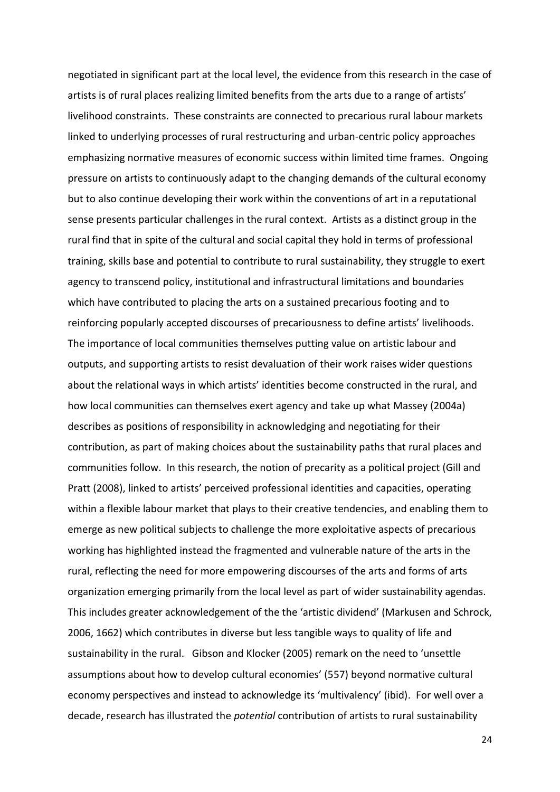negotiated in significant part at the local level, the evidence from this research in the case of artists is of rural places realizing limited benefits from the arts due to a range of artists' livelihood constraints. These constraints are connected to precarious rural labour markets linked to underlying processes of rural restructuring and urban-centric policy approaches emphasizing normative measures of economic success within limited time frames. Ongoing pressure on artists to continuously adapt to the changing demands of the cultural economy but to also continue developing their work within the conventions of art in a reputational sense presents particular challenges in the rural context. Artists as a distinct group in the rural find that in spite of the cultural and social capital they hold in terms of professional training, skills base and potential to contribute to rural sustainability, they struggle to exert agency to transcend policy, institutional and infrastructural limitations and boundaries which have contributed to placing the arts on a sustained precarious footing and to reinforcing popularly accepted discourses of precariousness to define artists' livelihoods. The importance of local communities themselves putting value on artistic labour and outputs, and supporting artists to resist devaluation of their work raises wider questions about the relational ways in which artists' identities become constructed in the rural, and how local communities can themselves exert agency and take up what Massey (2004a) describes as positions of responsibility in acknowledging and negotiating for their contribution, as part of making choices about the sustainability paths that rural places and communities follow. In this research, the notion of precarity as a political project (Gill and Pratt (2008), linked to artists' perceived professional identities and capacities, operating within a flexible labour market that plays to their creative tendencies, and enabling them to emerge as new political subjects to challenge the more exploitative aspects of precarious working has highlighted instead the fragmented and vulnerable nature of the arts in the rural, reflecting the need for more empowering discourses of the arts and forms of arts organization emerging primarily from the local level as part of wider sustainability agendas. This includes greater acknowledgement of the the 'artistic dividend' (Markusen and Schrock, 2006, 1662) which contributes in diverse but less tangible ways to quality of life and sustainability in the rural. Gibson and Klocker (2005) remark on the need to 'unsettle assumptions about how to develop cultural economies' (557) beyond normative cultural economy perspectives and instead to acknowledge its 'multivalency' (ibid). For well over a decade, research has illustrated the *potential* contribution of artists to rural sustainability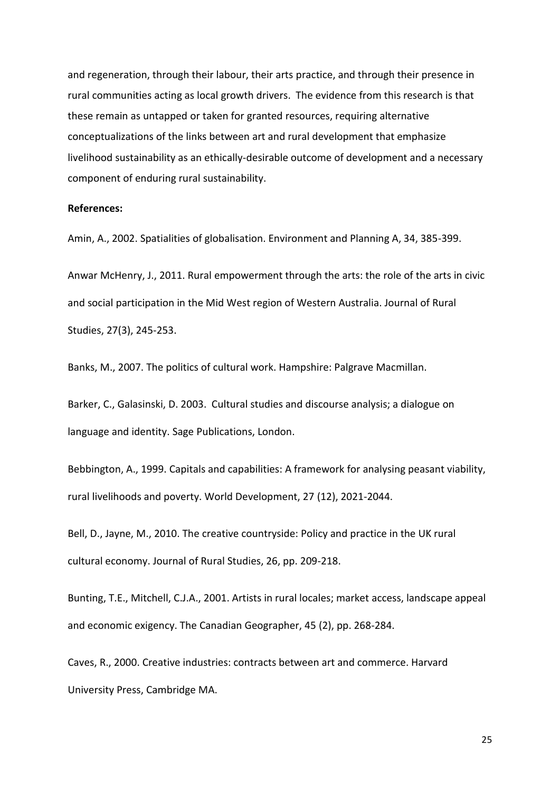and regeneration, through their labour, their arts practice, and through their presence in rural communities acting as local growth drivers. The evidence from this research is that these remain as untapped or taken for granted resources, requiring alternative conceptualizations of the links between art and rural development that emphasize livelihood sustainability as an ethically-desirable outcome of development and a necessary component of enduring rural sustainability.

### **References:**

Amin, A., 2002. Spatialities of globalisation. Environment and Planning A, 34, 385-399.

Anwar McHenry, J., 2011. Rural empowerment through the arts: the role of the arts in civic and social participation in the Mid West region of Western Australia. Journal of Rural Studies, 27(3), 245-253.

Banks, M., 2007. The politics of cultural work. Hampshire: Palgrave Macmillan.

Barker, C., Galasinski, D. 2003. Cultural studies and discourse analysis; a dialogue on language and identity. Sage Publications, London.

Bebbington, A., 1999. Capitals and capabilities: A framework for analysing peasant viability, rural livelihoods and poverty. World Development, 27 (12), 2021-2044.

Bell, D., Jayne, M., 2010. The creative countryside: Policy and practice in the UK rural cultural economy. Journal of Rural Studies, 26, pp. 209-218.

Bunting, T.E., Mitchell, C.J.A., 2001. Artists in rural locales; market access, landscape appeal and economic exigency. The Canadian Geographer, 45 (2), pp. 268-284.

Caves, R., 2000. Creative industries: contracts between art and commerce. Harvard University Press, Cambridge MA.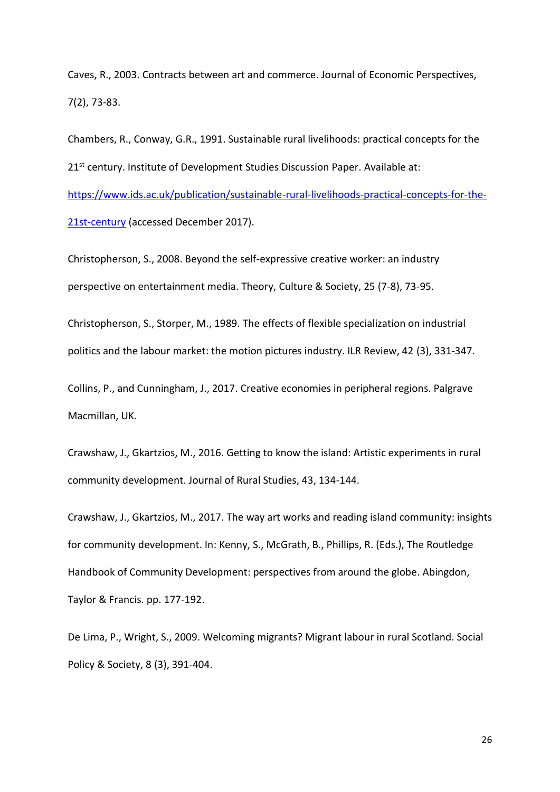Caves, R., 2003. Contracts between art and commerce. Journal of Economic Perspectives, 7(2), 73-83.

Chambers, R., Conway, G.R., 1991. Sustainable rural livelihoods: practical concepts for the 21<sup>st</sup> century. Institute of Development Studies Discussion Paper. Available at: [https://www.ids.ac.uk/publication/sustainable-rural-livelihoods-practical-concepts-for-the-](https://www.ids.ac.uk/publication/sustainable-rural-livelihoods-practical-concepts-for-the-21st-century)[21st-century](https://www.ids.ac.uk/publication/sustainable-rural-livelihoods-practical-concepts-for-the-21st-century) (accessed December 2017).

Christopherson, S., 2008. Beyond the self-expressive creative worker: an industry perspective on entertainment media. Theory, Culture & Society, 25 (7-8), 73-95.

Christopherson, S., Storper, M., 1989. The effects of flexible specialization on industrial politics and the labour market: the motion pictures industry. ILR Review, 42 (3), 331-347.

Collins, P., and Cunningham, J., 2017. Creative economies in peripheral regions. Palgrave Macmillan, UK.

Crawshaw, J., Gkartzios, M., 2016. Getting to know the island: Artistic experiments in rural community development. Journal of Rural Studies, 43, 134-144.

Crawshaw, J., Gkartzios, M., 2017. The way art works and reading island community: insights for community development. In: Kenny, S., McGrath, B., Phillips, R. (Eds.), The Routledge Handbook of Community Development: perspectives from around the globe. Abingdon, Taylor & Francis. pp. 177-192.

De Lima, P., Wright, S., 2009. Welcoming migrants? Migrant labour in rural Scotland. Social Policy & Society, 8 (3), 391-404.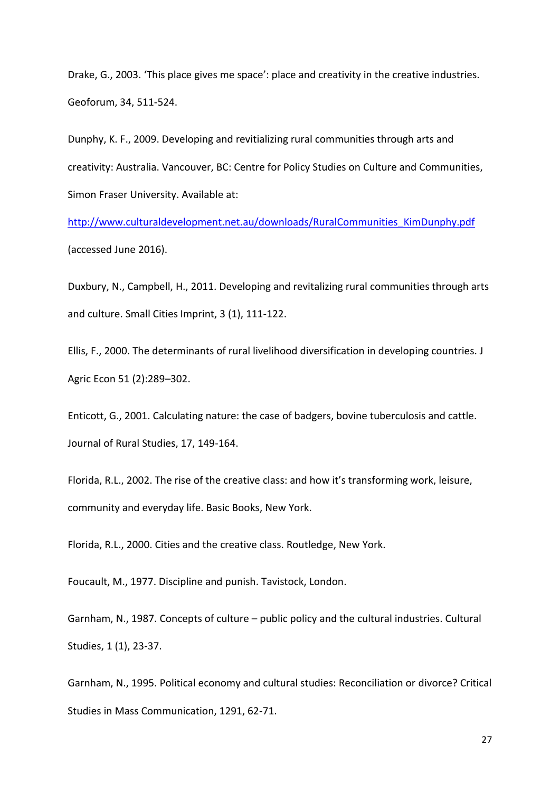Drake, G., 2003. 'This place gives me space': place and creativity in the creative industries. Geoforum, 34, 511-524.

Dunphy, K. F., 2009. Developing and revitializing rural communities through arts and creativity: Australia. Vancouver, BC: Centre for Policy Studies on Culture and Communities, Simon Fraser University. Available at:

[http://www.culturaldevelopment.net.au/downloads/RuralCommunities\\_KimDunphy.pdf](http://www.culturaldevelopment.net.au/downloads/RuralCommunities_KimDunphy.pdf) (accessed June 2016).

Duxbury, N., Campbell, H., 2011. Developing and revitalizing rural communities through arts and culture. Small Cities Imprint, 3 (1), 111-122.

Ellis, F., 2000. The determinants of rural livelihood diversification in developing countries. J Agric Econ 51 (2):289–302.

Enticott, G., 2001. Calculating nature: the case of badgers, bovine tuberculosis and cattle. Journal of Rural Studies, 17, 149-164.

Florida, R.L., 2002. The rise of the creative class: and how it's transforming work, leisure, community and everyday life. Basic Books, New York.

Florida, R.L., 2000. Cities and the creative class. Routledge, New York.

Foucault, M., 1977. Discipline and punish. Tavistock, London.

Garnham, N., 1987. Concepts of culture – public policy and the cultural industries. Cultural Studies, 1 (1), 23-37.

Garnham, N., 1995. Political economy and cultural studies: Reconciliation or divorce? Critical Studies in Mass Communication, 1291, 62-71.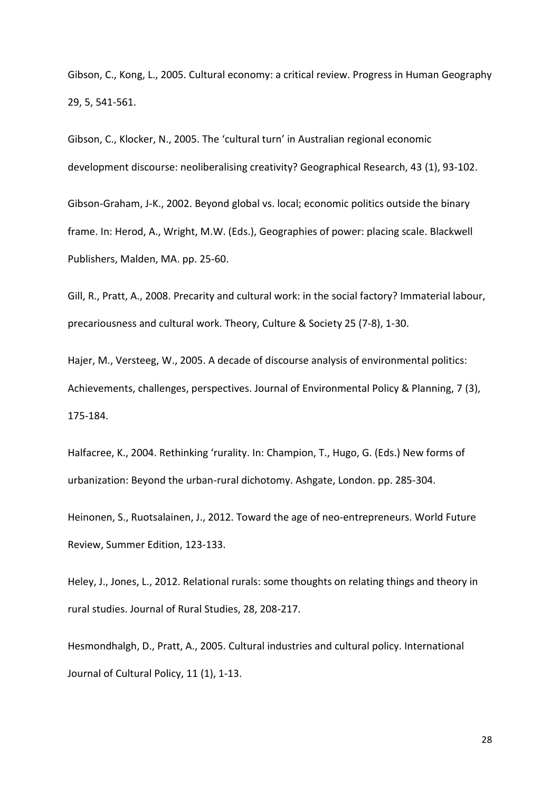Gibson, C., Kong, L., 2005. Cultural economy: a critical review. Progress in Human Geography 29, 5, 541-561.

Gibson, C., Klocker, N., 2005. The 'cultural turn' in Australian regional economic development discourse: neoliberalising creativity? Geographical Research, 43 (1), 93-102.

Gibson-Graham, J-K., 2002. Beyond global vs. local; economic politics outside the binary frame. In: Herod, A., Wright, M.W. (Eds.), Geographies of power: placing scale. Blackwell Publishers, Malden, MA. pp. 25-60.

Gill, R., Pratt, A., 2008. Precarity and cultural work: in the social factory? Immaterial labour, precariousness and cultural work. Theory, Culture & Society 25 (7-8), 1-30.

Hajer, M., Versteeg, W., 2005. A decade of discourse analysis of environmental politics: Achievements, challenges, perspectives. Journal of Environmental Policy & Planning, 7 (3), 175-184.

Halfacree, K., 2004. Rethinking 'rurality. In: Champion, T., Hugo, G. (Eds.) New forms of urbanization: Beyond the urban-rural dichotomy. Ashgate, London. pp. 285-304.

Heinonen, S., Ruotsalainen, J., 2012. Toward the age of neo-entrepreneurs. World Future Review, Summer Edition, 123-133.

Heley, J., Jones, L., 2012. Relational rurals: some thoughts on relating things and theory in rural studies. Journal of Rural Studies, 28, 208-217.

Hesmondhalgh, D., Pratt, A., 2005. Cultural industries and cultural policy. International Journal of Cultural Policy, 11 (1), 1-13.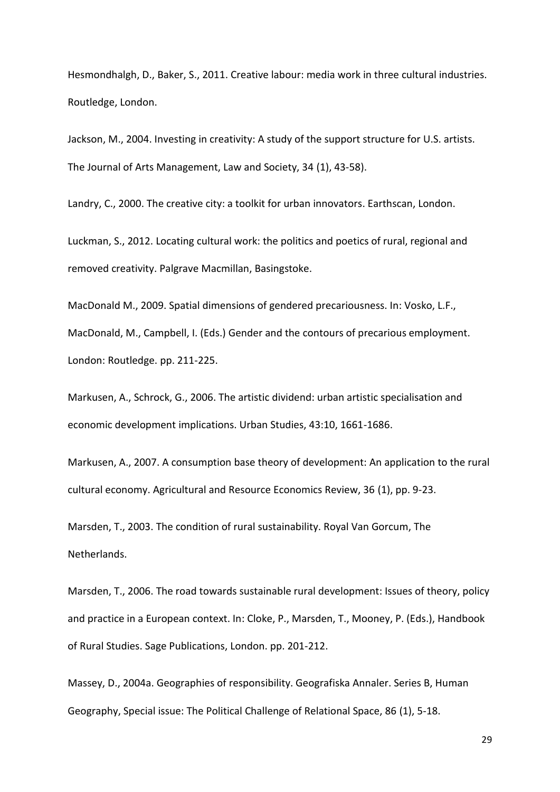Hesmondhalgh, D., Baker, S., 2011. Creative labour: media work in three cultural industries. Routledge, London.

Jackson, M., 2004. Investing in creativity: A study of the support structure for U.S. artists. The Journal of Arts Management, Law and Society, 34 (1), 43-58).

Landry, C., 2000. The creative city: a toolkit for urban innovators. Earthscan, London.

Luckman, S., 2012. Locating cultural work: the politics and poetics of rural, regional and removed creativity. Palgrave Macmillan, Basingstoke.

MacDonald M., 2009. Spatial dimensions of gendered precariousness. In: Vosko, L.F., MacDonald, M., Campbell, I. (Eds.) Gender and the contours of precarious employment. London: Routledge. pp. 211-225.

Markusen, A., Schrock, G., 2006. The artistic dividend: urban artistic specialisation and economic development implications. Urban Studies, 43:10, 1661-1686.

Markusen, A., 2007. A consumption base theory of development: An application to the rural cultural economy. Agricultural and Resource Economics Review, 36 (1), pp. 9-23.

Marsden, T., 2003. The condition of rural sustainability. Royal Van Gorcum, The Netherlands.

Marsden, T., 2006. The road towards sustainable rural development: Issues of theory, policy and practice in a European context. In: Cloke, P., Marsden, T., Mooney, P. (Eds.), Handbook of Rural Studies. Sage Publications, London. pp. 201-212.

Massey, D., 2004a. Geographies of responsibility. Geografiska Annaler. Series B, Human Geography, Special issue: The Political Challenge of Relational Space, 86 (1), 5-18.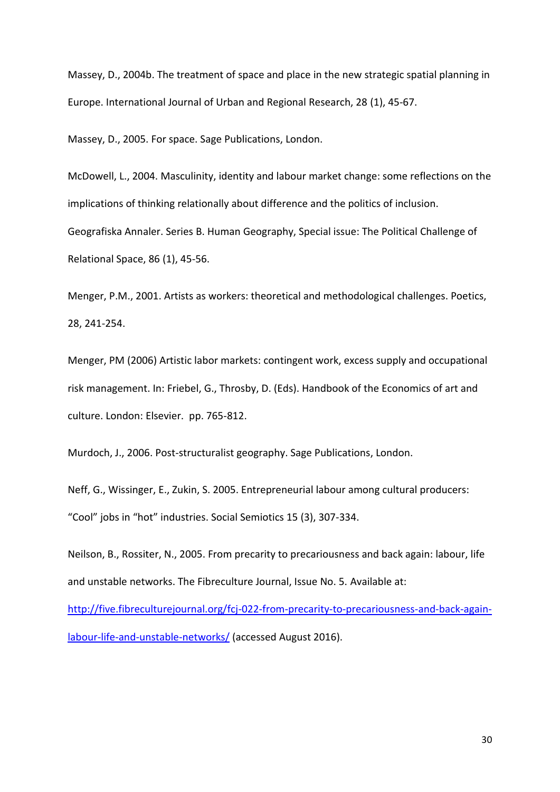Massey, D., 2004b. The treatment of space and place in the new strategic spatial planning in Europe. International Journal of Urban and Regional Research, 28 (1), 45-67.

Massey, D., 2005. For space. Sage Publications, London.

McDowell, L., 2004. Masculinity, identity and labour market change: some reflections on the implications of thinking relationally about difference and the politics of inclusion. Geografiska Annaler. Series B. Human Geography, Special issue: The Political Challenge of Relational Space, 86 (1), 45-56.

Menger, P.M., 2001. Artists as workers: theoretical and methodological challenges. Poetics, 28, 241-254.

Menger, PM (2006) Artistic labor markets: contingent work, excess supply and occupational risk management. In: Friebel, G., Throsby, D. (Eds). Handbook of the Economics of art and culture. London: Elsevier. pp. 765-812.

Murdoch, J., 2006. Post-structuralist geography. Sage Publications, London.

Neff, G., Wissinger, E., Zukin, S. 2005. Entrepreneurial labour among cultural producers: "Cool" jobs in "hot" industries. Social Semiotics 15 (3), 307-334.

Neilson, B., Rossiter, N., 2005. From precarity to precariousness and back again: labour, life and unstable networks. The Fibreculture Journal, Issue No. 5. Available at:

[http://five.fibreculturejournal.org/fcj-022-from-precarity-to-precariousness-and-back-again](http://five.fibreculturejournal.org/fcj-022-from-precarity-to-precariousness-and-back-again-labour-life-and-unstable-networks/)[labour-life-and-unstable-networks/](http://five.fibreculturejournal.org/fcj-022-from-precarity-to-precariousness-and-back-again-labour-life-and-unstable-networks/) (accessed August 2016).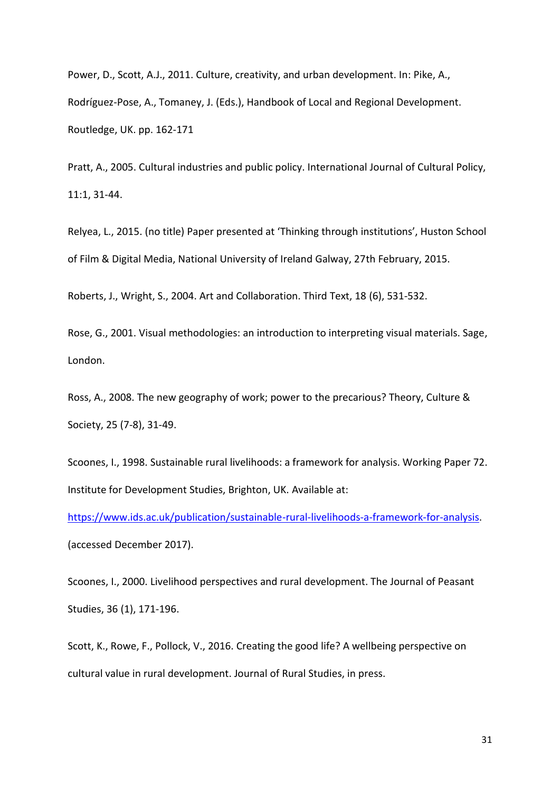Power, D., Scott, A.J., 2011. Culture, creativity, and urban development. In: Pike, A., Rodríguez-Pose, A., Tomaney, J. (Eds.), Handbook of Local and Regional Development. Routledge, UK. pp. 162-171

Pratt, A., 2005. Cultural industries and public policy. International Journal of Cultural Policy, 11:1, 31-44.

Relyea, L., 2015. (no title) Paper presented at 'Thinking through institutions', Huston School of Film & Digital Media, National University of Ireland Galway, 27th February, 2015.

Roberts, J., Wright, S., 2004. Art and Collaboration. Third Text, 18 (6), 531-532.

Rose, G., 2001. Visual methodologies: an introduction to interpreting visual materials. Sage, London.

Ross, A., 2008. The new geography of work; power to the precarious? Theory, Culture & Society, 25 (7-8), 31-49.

Scoones, I., 1998. Sustainable rural livelihoods: a framework for analysis. Working Paper 72. Institute for Development Studies, Brighton, UK. Available at:

[https://www.ids.ac.uk/publication/sustainable-rural-livelihoods-a-framework-for-analysis.](https://www.ids.ac.uk/publication/sustainable-rural-livelihoods-a-framework-for-analysis) (accessed December 2017).

Scoones, I., 2000. Livelihood perspectives and rural development. The Journal of Peasant Studies, 36 (1), 171-196.

Scott, K., Rowe, F., Pollock, V., 2016. Creating the good life? A wellbeing perspective on cultural value in rural development. Journal of Rural Studies, in press.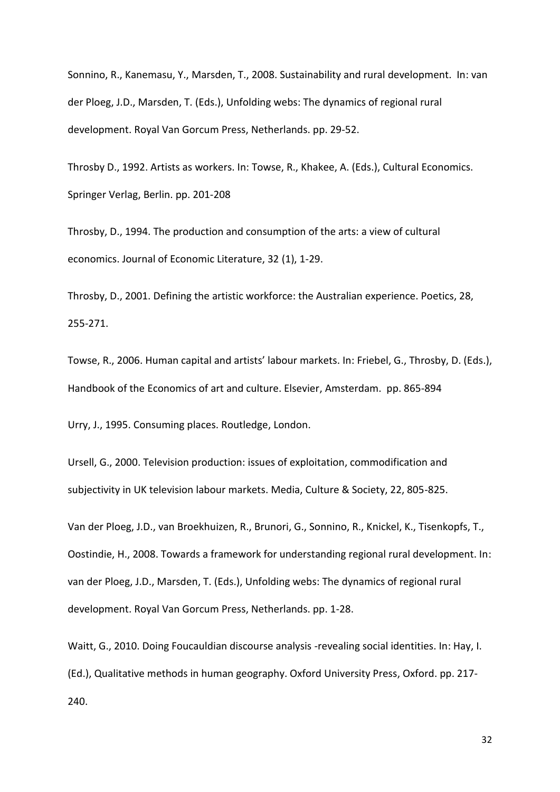Sonnino, R., Kanemasu, Y., Marsden, T., 2008. Sustainability and rural development. In: van der Ploeg, J.D., Marsden, T. (Eds.), Unfolding webs: The dynamics of regional rural development. Royal Van Gorcum Press, Netherlands. pp. 29-52.

Throsby D., 1992. Artists as workers. In: Towse, R., Khakee, A. (Eds.), Cultural Economics. Springer Verlag, Berlin. pp. 201-208

Throsby, D., 1994. The production and consumption of the arts: a view of cultural economics. Journal of Economic Literature, 32 (1), 1-29.

Throsby, D., 2001. Defining the artistic workforce: the Australian experience. Poetics, 28, 255-271.

Towse, R., 2006. Human capital and artists' labour markets. In: Friebel, G., Throsby, D. (Eds.), Handbook of the Economics of art and culture. Elsevier, Amsterdam. pp. 865-894

Urry, J., 1995. Consuming places. Routledge, London.

Ursell, G., 2000. Television production: issues of exploitation, commodification and subjectivity in UK television labour markets. Media, Culture & Society, 22, 805-825.

Van der Ploeg, J.D., van Broekhuizen, R., Brunori, G., Sonnino, R., Knickel, K., Tisenkopfs, T., Oostindie, H., 2008. Towards a framework for understanding regional rural development. In: van der Ploeg, J.D., Marsden, T. (Eds.), Unfolding webs: The dynamics of regional rural development. Royal Van Gorcum Press, Netherlands. pp. 1-28.

Waitt, G., 2010. Doing Foucauldian discourse analysis -revealing social identities. In: Hay, I. (Ed.), Qualitative methods in human geography. Oxford University Press, Oxford. pp. 217- 240.